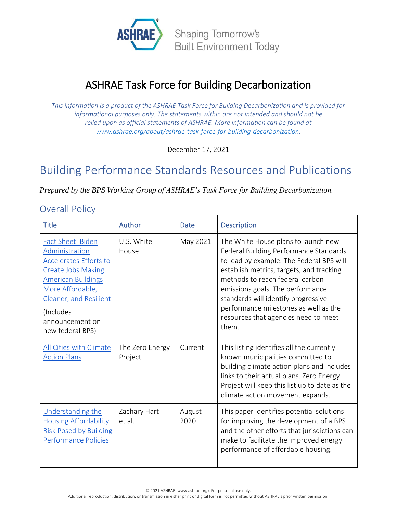

# ASHRAE Task Force for Building Decarbonization

*This information is a product of the ASHRAE Task Force for Building Decarbonization and is provided for informational purposes only. The statements within are not intended and should not be relied upon as official statements of ASHRAE. More information can be found at [www.ashrae.org/about/ashrae-task-force-for-building-decarbonization.](http://www.ashrae.org/about/ashrae-task-force-for-building-decarbonization)*

December 17, 2021

## Building Performance Standards Resources and Publications

*Prepared by the BPS Working Group of ASHRAE's Task Force for Building Decarbonization.*

#### Overall Policy

| <b>Title</b>                                                                                                                                                                                                                            | Author                     | Date           | <b>Description</b>                                                                                                                                                                                                                                                                                                                                                            |
|-----------------------------------------------------------------------------------------------------------------------------------------------------------------------------------------------------------------------------------------|----------------------------|----------------|-------------------------------------------------------------------------------------------------------------------------------------------------------------------------------------------------------------------------------------------------------------------------------------------------------------------------------------------------------------------------------|
| <b>Fact Sheet: Biden</b><br>Administration<br><b>Accelerates Efforts to</b><br><b>Create Jobs Making</b><br><b>American Buildings</b><br>More Affordable,<br>Cleaner, and Resilient<br>(Includes<br>announcement on<br>new federal BPS) | U.S. White<br>House        | May 2021       | The White House plans to launch new<br>Federal Building Performance Standards<br>to lead by example. The Federal BPS will<br>establish metrics, targets, and tracking<br>methods to reach federal carbon<br>emissions goals. The performance<br>standards will identify progressive<br>performance milestones as well as the<br>resources that agencies need to meet<br>them. |
| All Cities with Climate<br><b>Action Plans</b>                                                                                                                                                                                          | The Zero Energy<br>Project | Current        | This listing identifies all the currently<br>known municipalities committed to<br>building climate action plans and includes<br>links to their actual plans. Zero Energy<br>Project will keep this list up to date as the<br>climate action movement expands.                                                                                                                 |
| <b>Understanding the</b><br><b>Housing Affordability</b><br><b>Risk Posed by Building</b><br>Performance Policies                                                                                                                       | Zachary Hart<br>et al.     | August<br>2020 | This paper identifies potential solutions<br>for improving the development of a BPS<br>and the other efforts that jurisdictions can<br>make to facilitate the improved energy<br>performance of affordable housing.                                                                                                                                                           |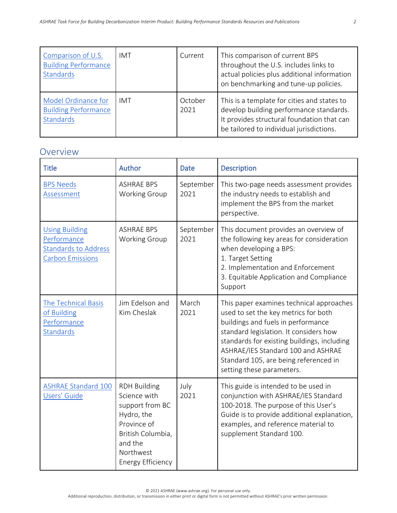| Comparison of U.S.<br><b>Building Performance</b><br>Standards  | IMT        | Current         | This comparison of current BPS<br>throughout the U.S. includes links to<br>actual policies plus additional information<br>on benchmarking and tune-up policies.                  |
|-----------------------------------------------------------------|------------|-----------------|----------------------------------------------------------------------------------------------------------------------------------------------------------------------------------|
| Model Ordinance for<br><b>Building Performance</b><br>Standards | <b>IMT</b> | October<br>2021 | This is a template for cities and states to<br>develop building performance standards.<br>It provides structural foundation that can<br>be tailored to individual jurisdictions. |

#### Overview

| <b>Title</b>                                                                            | Author                                                                                                                                                       | <b>Date</b>       | <b>Description</b>                                                                                                                                                                                                                                                                                                          |
|-----------------------------------------------------------------------------------------|--------------------------------------------------------------------------------------------------------------------------------------------------------------|-------------------|-----------------------------------------------------------------------------------------------------------------------------------------------------------------------------------------------------------------------------------------------------------------------------------------------------------------------------|
| <b>BPS Needs</b><br>Assessment                                                          | <b>ASHRAE BPS</b><br>Working Group                                                                                                                           | September<br>2021 | This two-page needs assessment provides<br>the industry needs to establish and<br>implement the BPS from the market<br>perspective.                                                                                                                                                                                         |
| <b>Using Building</b><br>Performance<br><b>Standards to Address</b><br>Carbon Emissions | <b>ASHRAE BPS</b><br><b>Working Group</b>                                                                                                                    | September<br>2021 | This document provides an overview of<br>the following key areas for consideration<br>when developing a BPS:<br>1. Target Setting<br>2. Implementation and Enforcement<br>3. Equitable Application and Compliance<br>Support                                                                                                |
| The Technical Basis<br>of Building<br>Performance<br><b>Standards</b>                   | Jim Edelson and<br>Kim Cheslak                                                                                                                               | March<br>2021     | This paper examines technical approaches<br>used to set the key metrics for both<br>buildings and fuels in performance<br>standard legislation. It considers how<br>standards for existing buildings, including<br>ASHRAE/IES Standard 100 and ASHRAE<br>Standard 105, are being referenced in<br>setting these parameters. |
| <b>ASHRAE Standard 100</b><br>Users' Guide                                              | <b>RDH Building</b><br>Science with<br>support from BC<br>Hydro, the<br>Province of<br>British Columbia,<br>and the<br>Northwest<br><b>Energy Efficiency</b> | July<br>2021      | This guide is intended to be used in<br>conjunction with ASHRAE/IES Standard<br>100-2018. The purpose of this User's<br>Guide is to provide additional explanation,<br>examples, and reference material to<br>supplement Standard 100.                                                                                      |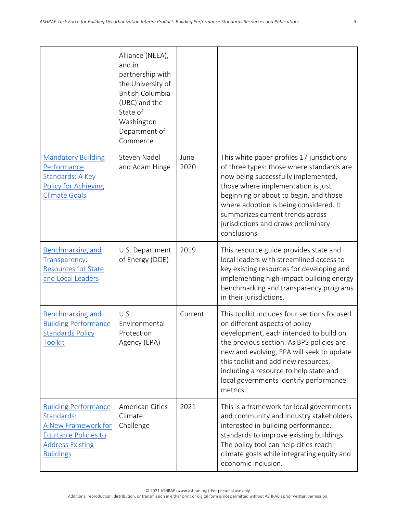|                                                                                                                                          | Alliance (NEEA),<br>and in<br>partnership with<br>the University of<br><b>British Columbia</b><br>(UBC) and the<br>State of<br>Washington<br>Department of<br>Commerce |              |                                                                                                                                                                                                                                                                                                                                                          |
|------------------------------------------------------------------------------------------------------------------------------------------|------------------------------------------------------------------------------------------------------------------------------------------------------------------------|--------------|----------------------------------------------------------------------------------------------------------------------------------------------------------------------------------------------------------------------------------------------------------------------------------------------------------------------------------------------------------|
| <b>Mandatory Building</b><br>Performance<br>Standards: A Key<br><b>Policy for Achieving</b><br><b>Climate Goals</b>                      | Steven Nadel<br>and Adam Hinge                                                                                                                                         | June<br>2020 | This white paper profiles 17 jurisdictions<br>of three types: those where standards are<br>now being successfully implemented,<br>those where implementation is just<br>beginning or about to begin, and those<br>where adoption is being considered. It<br>summarizes current trends across<br>jurisdictions and draws preliminary<br>conclusions.      |
| <b>Benchmarking and</b><br>Transparency:<br><b>Resources for State</b><br>and Local Leaders                                              | U.S. Department<br>of Energy (DOE)                                                                                                                                     | 2019         | This resource guide provides state and<br>local leaders with streamlined access to<br>key existing resources for developing and<br>implementing high-impact building energy<br>benchmarking and transparency programs<br>in their jurisdictions.                                                                                                         |
| <b>Benchmarking and</b><br><b>Building Performance</b><br><b>Standards Policy</b><br><b>Toolkit</b>                                      | U.S.<br>Environmental<br>Protection<br>Agency (EPA)                                                                                                                    | Current      | This toolkit includes four sections focused<br>on different aspects of policy<br>development, each intended to build on<br>the previous section. As BPS policies are<br>new and evolving, EPA will seek to update<br>this toolkit and add new resources,<br>including a resource to help state and<br>local governments identify performance<br>metrics. |
| <b>Building Performance</b><br>Standards:<br>A New Framework for<br>Equitable Policies to<br><b>Address Existing</b><br><b>Buildings</b> | American Cities<br>Climate<br>Challenge                                                                                                                                | 2021         | This is a framework for local governments<br>and community and industry stakeholders<br>interested in building performance.<br>standards to improve existing buildings.<br>The policy tool can help cities reach<br>climate goals while integrating equity and<br>economic inclusion.                                                                    |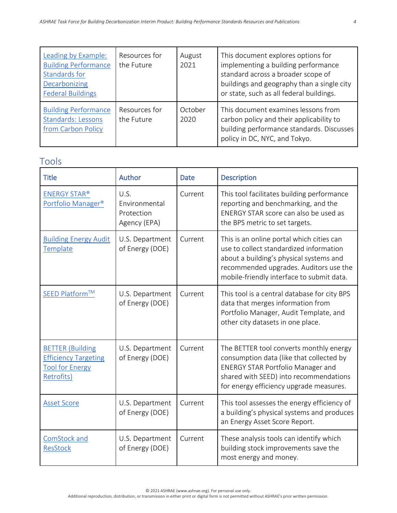| Leading by Example:<br><b>Building Performance</b><br>Standards for<br>Decarbonizing<br><b>Federal Buildings</b> | Resources for<br>the Future | August<br>2021  | This document explores options for<br>implementing a building performance<br>standard across a broader scope of<br>buildings and geography than a single city<br>or state, such as all federal buildings. |
|------------------------------------------------------------------------------------------------------------------|-----------------------------|-----------------|-----------------------------------------------------------------------------------------------------------------------------------------------------------------------------------------------------------|
| <b>Building Performance</b><br><b>Standards: Lessons</b><br>from Carbon Policy                                   | Resources for<br>the Future | October<br>2020 | This document examines lessons from<br>carbon policy and their applicability to<br>building performance standards. Discusses<br>policy in DC, NYC, and Tokyo.                                             |

### Tools

| <b>Title</b>                                                                                   | Author                                              | <b>Date</b> | <b>Description</b>                                                                                                                                                                                                     |
|------------------------------------------------------------------------------------------------|-----------------------------------------------------|-------------|------------------------------------------------------------------------------------------------------------------------------------------------------------------------------------------------------------------------|
| <b>ENERGY STAR®</b><br>Portfolio Manager®                                                      | U.S.<br>Environmental<br>Protection<br>Agency (EPA) | Current     | This tool facilitates building performance<br>reporting and benchmarking, and the<br>ENERGY STAR score can also be used as<br>the BPS metric to set targets.                                                           |
| <b>Building Energy Audit</b><br>Template                                                       | U.S. Department<br>of Energy (DOE)                  | Current     | This is an online portal which cities can<br>use to collect standardized information<br>about a building's physical systems and<br>recommended upgrades. Auditors use the<br>mobile-friendly interface to submit data. |
| SEED Platform™                                                                                 | U.S. Department<br>of Energy (DOE)                  | Current     | This tool is a central database for city BPS<br>data that merges information from<br>Portfolio Manager, Audit Template, and<br>other city datasets in one place.                                                       |
| <b>BETTER (Building</b><br><b>Efficiency Targeting</b><br><b>Tool for Energy</b><br>Retrofits) | U.S. Department<br>of Energy (DOE)                  | Current     | The BETTER tool converts monthly energy<br>consumption data (like that collected by<br><b>ENERGY STAR Portfolio Manager and</b><br>shared with SEED) into recommendations<br>for energy efficiency upgrade measures.   |
| <b>Asset Score</b>                                                                             | U.S. Department<br>of Energy (DOE)                  | Current     | This tool assesses the energy efficiency of<br>a building's physical systems and produces<br>an Energy Asset Score Report.                                                                                             |
| ComStock and<br><b>ResStock</b>                                                                | U.S. Department<br>of Energy (DOE)                  | Current     | These analysis tools can identify which<br>building stock improvements save the<br>most energy and money.                                                                                                              |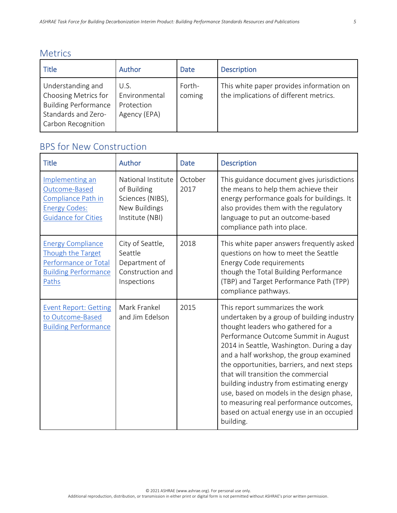|  | <b>Metrics</b> |
|--|----------------|
|  |                |

| Title                                                                                                                 | Author                                              | <b>Date</b>      | <b>Description</b>                                                                 |
|-----------------------------------------------------------------------------------------------------------------------|-----------------------------------------------------|------------------|------------------------------------------------------------------------------------|
| Understanding and<br>Choosing Metrics for<br><b>Building Performance</b><br>Standards and Zero-<br>Carbon Recognition | U.S.<br>Environmental<br>Protection<br>Agency (EPA) | Forth-<br>coming | This white paper provides information on<br>the implications of different metrics. |

| <b>Title</b>                                                                                                  | Author                                                                                    | <b>Date</b>     | <b>Description</b>                                                                                                                                                                                                                                                                                                                                                                                                                                                                                                                      |
|---------------------------------------------------------------------------------------------------------------|-------------------------------------------------------------------------------------------|-----------------|-----------------------------------------------------------------------------------------------------------------------------------------------------------------------------------------------------------------------------------------------------------------------------------------------------------------------------------------------------------------------------------------------------------------------------------------------------------------------------------------------------------------------------------------|
| Implementing an<br>Outcome-Based<br>Compliance Path in<br><b>Energy Codes:</b><br><b>Guidance for Cities</b>  | National Institute<br>of Building<br>Sciences (NIBS),<br>New Buildings<br>Institute (NBI) | October<br>2017 | This guidance document gives jurisdictions<br>the means to help them achieve their<br>energy performance goals for buildings. It<br>also provides them with the regulatory<br>language to put an outcome-based<br>compliance path into place.                                                                                                                                                                                                                                                                                           |
| <b>Energy Compliance</b><br>Though the Target<br>Performance or Total<br><b>Building Performance</b><br>Paths | City of Seattle,<br>Seattle<br>Department of<br>Construction and<br>Inspections           | 2018            | This white paper answers frequently asked<br>questions on how to meet the Seattle<br><b>Energy Code requirements</b><br>though the Total Building Performance<br>(TBP) and Target Performance Path (TPP)<br>compliance pathways.                                                                                                                                                                                                                                                                                                        |
| <b>Event Report: Getting</b><br>to Outcome-Based<br><b>Building Performance</b>                               | Mark Frankel<br>and Jim Edelson                                                           | 2015            | This report summarizes the work<br>undertaken by a group of building industry<br>thought leaders who gathered for a<br>Performance Outcome Summit in August<br>2014 in Seattle, Washington. During a day<br>and a half workshop, the group examined<br>the opportunities, barriers, and next steps<br>that will transition the commercial<br>building industry from estimating energy<br>use, based on models in the design phase,<br>to measuring real performance outcomes,<br>based on actual energy use in an occupied<br>building. |

## BPS for New Construction